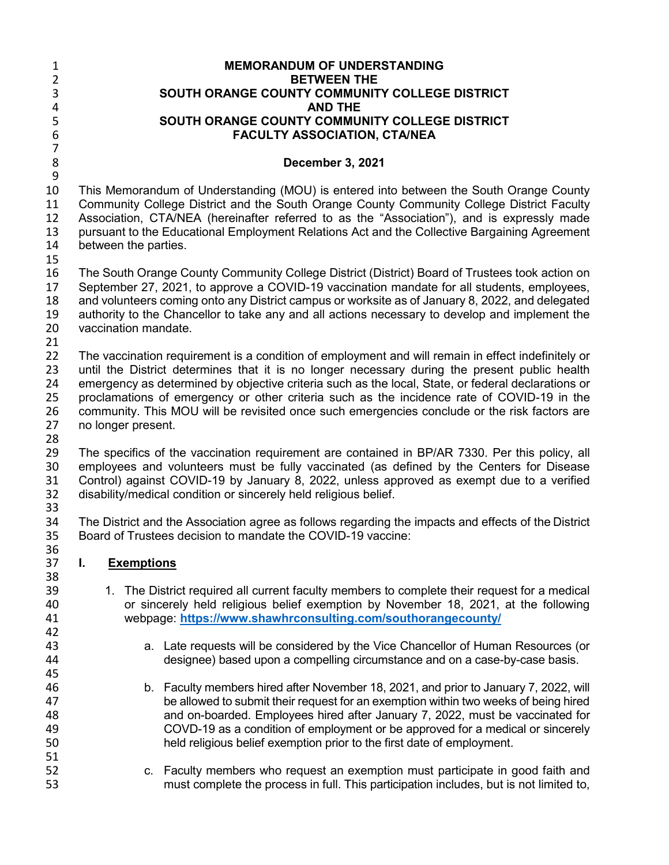| $\mathbf{1}$        |                                                                                                                                                                                              |                      | <b>MEMORANDUM OF UNDERSTANDING</b>                                                                                                                                                  |  |  |
|---------------------|----------------------------------------------------------------------------------------------------------------------------------------------------------------------------------------------|----------------------|-------------------------------------------------------------------------------------------------------------------------------------------------------------------------------------|--|--|
| $\overline{2}$      | <b>BETWEEN THE</b>                                                                                                                                                                           |                      |                                                                                                                                                                                     |  |  |
| 3                   |                                                                                                                                                                                              |                      | SOUTH ORANGE COUNTY COMMUNITY COLLEGE DISTRICT                                                                                                                                      |  |  |
| 4                   |                                                                                                                                                                                              |                      | <b>AND THE</b>                                                                                                                                                                      |  |  |
| 5                   |                                                                                                                                                                                              |                      | SOUTH ORANGE COUNTY COMMUNITY COLLEGE DISTRICT                                                                                                                                      |  |  |
| $\boldsymbol{6}$    |                                                                                                                                                                                              |                      | <b>FACULTY ASSOCIATION, CTA/NEA</b>                                                                                                                                                 |  |  |
| $\overline{7}$<br>8 |                                                                                                                                                                                              |                      | December 3, 2021                                                                                                                                                                    |  |  |
| $\boldsymbol{9}$    |                                                                                                                                                                                              |                      |                                                                                                                                                                                     |  |  |
| 10<br>11            |                                                                                                                                                                                              |                      | This Memorandum of Understanding (MOU) is entered into between the South Orange County<br>Community College District and the South Orange County Community College District Faculty |  |  |
| 12                  |                                                                                                                                                                                              |                      | Association, CTA/NEA (hereinafter referred to as the "Association"), and is expressly made                                                                                          |  |  |
| 13                  |                                                                                                                                                                                              |                      | pursuant to the Educational Employment Relations Act and the Collective Bargaining Agreement                                                                                        |  |  |
| 14                  |                                                                                                                                                                                              | between the parties. |                                                                                                                                                                                     |  |  |
| 15                  |                                                                                                                                                                                              |                      |                                                                                                                                                                                     |  |  |
| 16                  |                                                                                                                                                                                              |                      |                                                                                                                                                                                     |  |  |
| 17                  | The South Orange County Community College District (District) Board of Trustees took action on<br>September 27, 2021, to approve a COVID-19 vaccination mandate for all students, employees, |                      |                                                                                                                                                                                     |  |  |
| 18                  |                                                                                                                                                                                              |                      |                                                                                                                                                                                     |  |  |
| 19                  | and volunteers coming onto any District campus or worksite as of January 8, 2022, and delegated                                                                                              |                      |                                                                                                                                                                                     |  |  |
| 20                  | authority to the Chancellor to take any and all actions necessary to develop and implement the<br>vaccination mandate.                                                                       |                      |                                                                                                                                                                                     |  |  |
| 21                  |                                                                                                                                                                                              |                      |                                                                                                                                                                                     |  |  |
| 22                  |                                                                                                                                                                                              |                      | The vaccination requirement is a condition of employment and will remain in effect indefinitely or                                                                                  |  |  |
| 23                  | until the District determines that it is no longer necessary during the present public health                                                                                                |                      |                                                                                                                                                                                     |  |  |
| 24                  |                                                                                                                                                                                              |                      | emergency as determined by objective criteria such as the local, State, or federal declarations or                                                                                  |  |  |
| 25                  | proclamations of emergency or other criteria such as the incidence rate of COVID-19 in the                                                                                                   |                      |                                                                                                                                                                                     |  |  |
| 26                  | community. This MOU will be revisited once such emergencies conclude or the risk factors are                                                                                                 |                      |                                                                                                                                                                                     |  |  |
| 27                  |                                                                                                                                                                                              | no longer present.   |                                                                                                                                                                                     |  |  |
| 28                  |                                                                                                                                                                                              |                      |                                                                                                                                                                                     |  |  |
| 29                  |                                                                                                                                                                                              |                      | The specifics of the vaccination requirement are contained in BP/AR 7330. Per this policy, all                                                                                      |  |  |
| 30                  |                                                                                                                                                                                              |                      | employees and volunteers must be fully vaccinated (as defined by the Centers for Disease                                                                                            |  |  |
| 31                  |                                                                                                                                                                                              |                      | Control) against COVID-19 by January 8, 2022, unless approved as exempt due to a verified                                                                                           |  |  |
| 32                  |                                                                                                                                                                                              |                      | disability/medical condition or sincerely held religious belief.                                                                                                                    |  |  |
| 33                  |                                                                                                                                                                                              |                      |                                                                                                                                                                                     |  |  |
| 34                  |                                                                                                                                                                                              |                      | The District and the Association agree as follows regarding the impacts and effects of the District                                                                                 |  |  |
| 35                  | Board of Trustees decision to mandate the COVID-19 vaccine:                                                                                                                                  |                      |                                                                                                                                                                                     |  |  |
| 36                  |                                                                                                                                                                                              |                      |                                                                                                                                                                                     |  |  |
| 37                  | I.                                                                                                                                                                                           | <b>Exemptions</b>    |                                                                                                                                                                                     |  |  |
| 38                  |                                                                                                                                                                                              |                      |                                                                                                                                                                                     |  |  |
| 39                  |                                                                                                                                                                                              |                      | 1. The District required all current faculty members to complete their request for a medical                                                                                        |  |  |
| 40                  | or sincerely held religious belief exemption by November 18, 2021, at the following                                                                                                          |                      |                                                                                                                                                                                     |  |  |
| 41                  |                                                                                                                                                                                              |                      | webpage: https://www.shawhrconsulting.com/southorangecounty/                                                                                                                        |  |  |
| 42                  |                                                                                                                                                                                              |                      |                                                                                                                                                                                     |  |  |
| 43                  |                                                                                                                                                                                              |                      | a. Late requests will be considered by the Vice Chancellor of Human Resources (or                                                                                                   |  |  |
| 44                  |                                                                                                                                                                                              |                      | designee) based upon a compelling circumstance and on a case-by-case basis.                                                                                                         |  |  |
| 45                  |                                                                                                                                                                                              |                      |                                                                                                                                                                                     |  |  |
| 46                  |                                                                                                                                                                                              |                      | b. Faculty members hired after November 18, 2021, and prior to January 7, 2022, will                                                                                                |  |  |
| 47                  |                                                                                                                                                                                              |                      | be allowed to submit their request for an exemption within two weeks of being hired                                                                                                 |  |  |
| 48                  |                                                                                                                                                                                              |                      | and on-boarded. Employees hired after January 7, 2022, must be vaccinated for                                                                                                       |  |  |
| 49                  |                                                                                                                                                                                              |                      | COVD-19 as a condition of employment or be approved for a medical or sincerely                                                                                                      |  |  |
| 50                  |                                                                                                                                                                                              |                      | held religious belief exemption prior to the first date of employment.                                                                                                              |  |  |
| 51                  |                                                                                                                                                                                              |                      |                                                                                                                                                                                     |  |  |
| 52                  |                                                                                                                                                                                              |                      | c. Faculty members who request an exemption must participate in good faith and                                                                                                      |  |  |
| 53                  |                                                                                                                                                                                              |                      | must complete the process in full. This participation includes, but is not limited to,                                                                                              |  |  |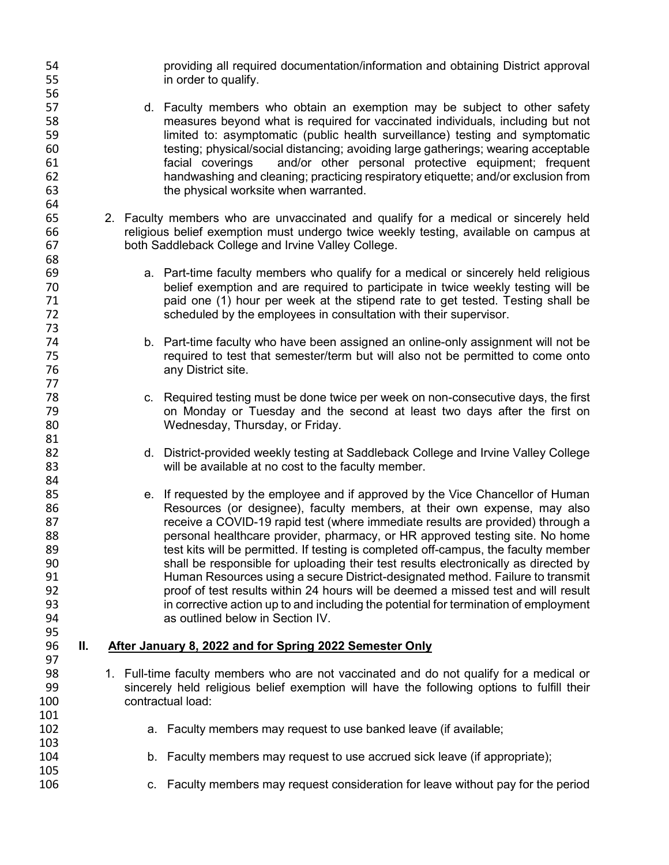54 broviding all required documentation/information and obtaining District approval<br>55 http://www.information.com/information/information and obtaining District approval in order to qualify. 56<br>57 d. Faculty members who obtain an exemption may be subject to other safety measures beyond what is required for vaccinated individuals, including but not limited to: asymptomatic (public health surveillance) testing and symptomatic testing; physical/social distancing; avoiding large gatherings; wearing acceptable facial coverings and/or other personal protective equipment; frequent handwashing and cleaning; practicing respiratory etiquette; and/or exclusion from the physical worksite when warranted. 2. Faculty members who are unvaccinated and qualify for a medical or sincerely held religious belief exemption must undergo twice weekly testing, available on campus at both Saddleback College and Irvine Valley College. a. Part-time faculty members who qualify for a medical or sincerely held religious belief exemption and are required to participate in twice weekly testing will be paid one (1) hour per week at the stipend rate to get tested. Testing shall be scheduled by the employees in consultation with their supervisor. b. Part-time faculty who have been assigned an online-only assignment will not be required to test that semester/term but will also not be permitted to come onto any District site. 78 c. Required testing must be done twice per week on non-consecutive days, the first<br>79 con Monday or Tuesday and the second at least two days after the first on on Monday or Tuesday and the second at least two days after the first on Wednesday, Thursday, or Friday. 82 d. District-provided weekly testing at Saddleback College and Irvine Valley College will be available at no cost to the faculty member. e. If requested by the employee and if approved by the Vice Chancellor of Human 86 Resources (or designee), faculty members, at their own expense, may also<br>87 Resource a COVID-19 rapid test (where immediate results are provided) through a receive a COVID-19 rapid test (where immediate results are provided) through a personal healthcare provider, pharmacy, or HR approved testing site. No home 89 test kits will be permitted. If testing is completed off-campus, the faculty member shall be responsible for uploading their test results electronically as directed by Human Resources using a secure District-designated method. Failure to transmit proof of test results within 24 hours will be deemed a missed test and will result 93 in corrective action up to and including the potential for termination of employment<br>94 sag outlined below in Section IV. as outlined below in Section IV. **II. After January 8, 2022 and for Spring 2022 Semester Only** 98 1. Full-time faculty members who are not vaccinated and do not qualify for a medical or<br>99 sincerely held religious belief exemption will have the following options to fulfill their sincerely held religious belief exemption will have the following options to fulfill their contractual load: a. Faculty members may request to use banked leave (if available; b. Faculty members may request to use accrued sick leave (if appropriate); c. Faculty members may request consideration for leave without pay for the period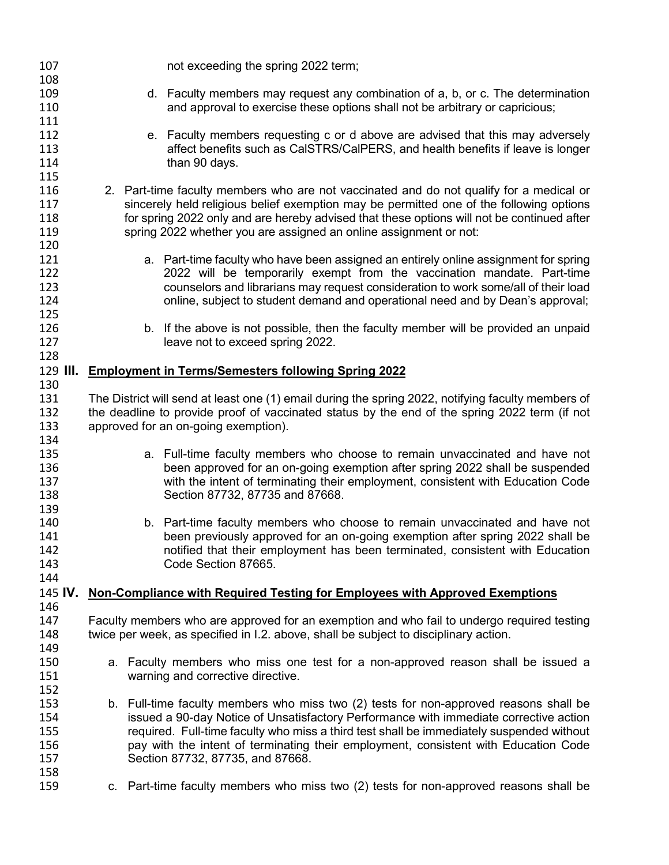| 107        |                                                                                                                                                                                    | not exceeding the spring 2022 term;                                                                |  |  |
|------------|------------------------------------------------------------------------------------------------------------------------------------------------------------------------------------|----------------------------------------------------------------------------------------------------|--|--|
| 108        |                                                                                                                                                                                    |                                                                                                    |  |  |
| 109        |                                                                                                                                                                                    | d. Faculty members may request any combination of a, b, or c. The determination                    |  |  |
| 110        |                                                                                                                                                                                    | and approval to exercise these options shall not be arbitrary or capricious;                       |  |  |
| 111        |                                                                                                                                                                                    |                                                                                                    |  |  |
| 112        |                                                                                                                                                                                    | e. Faculty members requesting c or d above are advised that this may adversely                     |  |  |
| 113        |                                                                                                                                                                                    | affect benefits such as CaISTRS/CaIPERS, and health benefits if leave is longer                    |  |  |
| 114        |                                                                                                                                                                                    | than 90 days.                                                                                      |  |  |
| 115        |                                                                                                                                                                                    |                                                                                                    |  |  |
| 116        |                                                                                                                                                                                    | 2. Part-time faculty members who are not vaccinated and do not qualify for a medical or            |  |  |
| 117        |                                                                                                                                                                                    | sincerely held religious belief exemption may be permitted one of the following options            |  |  |
| 118        |                                                                                                                                                                                    | for spring 2022 only and are hereby advised that these options will not be continued after         |  |  |
| 119        |                                                                                                                                                                                    | spring 2022 whether you are assigned an online assignment or not:                                  |  |  |
| 120        |                                                                                                                                                                                    |                                                                                                    |  |  |
| 121        |                                                                                                                                                                                    | a. Part-time faculty who have been assigned an entirely online assignment for spring               |  |  |
| 122        |                                                                                                                                                                                    | 2022 will be temporarily exempt from the vaccination mandate. Part-time                            |  |  |
| 123        |                                                                                                                                                                                    | counselors and librarians may request consideration to work some/all of their load                 |  |  |
| 124        |                                                                                                                                                                                    | online, subject to student demand and operational need and by Dean's approval;                     |  |  |
| 125        |                                                                                                                                                                                    |                                                                                                    |  |  |
| 126        |                                                                                                                                                                                    | b. If the above is not possible, then the faculty member will be provided an unpaid                |  |  |
| 127        |                                                                                                                                                                                    | leave not to exceed spring 2022.                                                                   |  |  |
| 128        |                                                                                                                                                                                    |                                                                                                    |  |  |
| 129 III.   |                                                                                                                                                                                    | <b>Employment in Terms/Semesters following Spring 2022</b>                                         |  |  |
| 130        |                                                                                                                                                                                    |                                                                                                    |  |  |
| 131        |                                                                                                                                                                                    | The District will send at least one (1) email during the spring 2022, notifying faculty members of |  |  |
| 132        |                                                                                                                                                                                    | the deadline to provide proof of vaccinated status by the end of the spring 2022 term (if not      |  |  |
| 133        |                                                                                                                                                                                    | approved for an on-going exemption).                                                               |  |  |
| 134        |                                                                                                                                                                                    |                                                                                                    |  |  |
| 135        |                                                                                                                                                                                    | a. Full-time faculty members who choose to remain unvaccinated and have not                        |  |  |
| 136        |                                                                                                                                                                                    | been approved for an on-going exemption after spring 2022 shall be suspended                       |  |  |
| 137        |                                                                                                                                                                                    | with the intent of terminating their employment, consistent with Education Code                    |  |  |
| 138        |                                                                                                                                                                                    | Section 87732, 87735 and 87668.                                                                    |  |  |
| 139        |                                                                                                                                                                                    |                                                                                                    |  |  |
| 140        |                                                                                                                                                                                    | b. Part-time faculty members who choose to remain unvaccinated and have not                        |  |  |
| 141        |                                                                                                                                                                                    | been previously approved for an on-going exemption after spring 2022 shall be                      |  |  |
| 142        |                                                                                                                                                                                    | notified that their employment has been terminated, consistent with Education                      |  |  |
| 143        |                                                                                                                                                                                    | Code Section 87665.                                                                                |  |  |
| 144        |                                                                                                                                                                                    |                                                                                                    |  |  |
| 145 IV.    |                                                                                                                                                                                    | Non-Compliance with Required Testing for Employees with Approved Exemptions                        |  |  |
| 146        |                                                                                                                                                                                    |                                                                                                    |  |  |
| 147        |                                                                                                                                                                                    |                                                                                                    |  |  |
| 148        | Faculty members who are approved for an exemption and who fail to undergo required testing<br>twice per week, as specified in I.2. above, shall be subject to disciplinary action. |                                                                                                    |  |  |
| 149        |                                                                                                                                                                                    |                                                                                                    |  |  |
| 150        |                                                                                                                                                                                    | a. Faculty members who miss one test for a non-approved reason shall be issued a                   |  |  |
| 151        |                                                                                                                                                                                    | warning and corrective directive.                                                                  |  |  |
|            |                                                                                                                                                                                    |                                                                                                    |  |  |
| 152<br>153 |                                                                                                                                                                                    |                                                                                                    |  |  |
|            |                                                                                                                                                                                    | b. Full-time faculty members who miss two (2) tests for non-approved reasons shall be              |  |  |
| 154<br>155 |                                                                                                                                                                                    | issued a 90-day Notice of Unsatisfactory Performance with immediate corrective action              |  |  |
|            |                                                                                                                                                                                    | required. Full-time faculty who miss a third test shall be immediately suspended without           |  |  |
| 156        |                                                                                                                                                                                    | pay with the intent of terminating their employment, consistent with Education Code                |  |  |
| 157        |                                                                                                                                                                                    | Section 87732, 87735, and 87668.                                                                   |  |  |
| 158        |                                                                                                                                                                                    |                                                                                                    |  |  |
| 159        |                                                                                                                                                                                    | c. Part-time faculty members who miss two (2) tests for non-approved reasons shall be              |  |  |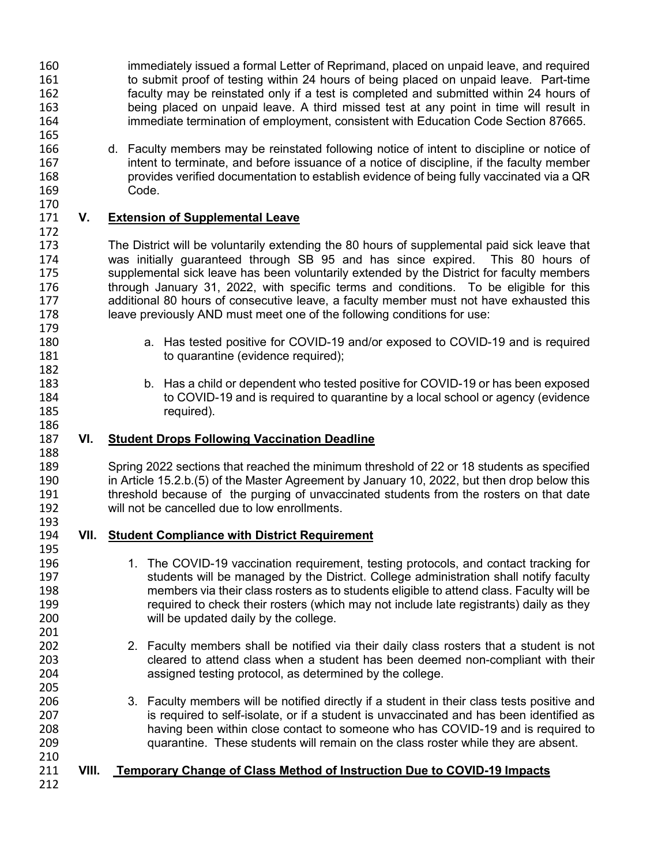- 160 immediately issued a formal Letter of Reprimand, placed on unpaid leave, and required<br>161 to submit proof of testing within 24 hours of being placed on unpaid leave. Part-time to submit proof of testing within 24 hours of being placed on unpaid leave. Part-time 162 faculty may be reinstated only if a test is completed and submitted within 24 hours of<br>163 being placed on unpaid leave. A third missed test at any point in time will result in being placed on unpaid leave. A third missed test at any point in time will result in 164 immediate termination of employment, consistent with Education Code Section 87665.
- 166 d. Faculty members may be reinstated following notice of intent to discipline or notice of 167 intent to terminate, and before issuance of a notice of discipline, if the faculty member 168 provides verified documentation to establish evidence of being fully vaccinated via a QR Code.

## 171 **V. Extension of Supplemental Leave**

 The District will be voluntarily extending the 80 hours of supplemental paid sick leave that was initially guaranteed through SB 95 and has since expired. This 80 hours of supplemental sick leave has been voluntarily extended by the District for faculty members 176 through January 31, 2022, with specific terms and conditions. To be eligible for this<br>177 additional 80 hours of consecutive leave, a faculty member must not have exhausted this additional 80 hours of consecutive leave, a faculty member must not have exhausted this leave previously AND must meet one of the following conditions for use:

- 180 a. Has tested positive for COVID-19 and/or exposed to COVID-19 and is required 181 to quarantine (evidence required);
- 183 b. Has a child or dependent who tested positive for COVID-19 or has been exposed<br>184 to COVID-19 and is required to quarantine by a local school or agency (evidence 184 to COVID-19 and is required to quarantine by a local school or agency (evidence<br>185 the required). required).

## 187 **VI. Student Drops Following Vaccination Deadline**

189 Spring 2022 sections that reached the minimum threshold of 22 or 18 students as specified<br>190 in Article 15.2.b.(5) of the Master Agreement by January 10, 2022, but then drop below this 190 in Article 15.2.b.(5) of the Master Agreement by January 10, 2022, but then drop below this<br>191 threshold because of the purging of unvaccinated students from the rosters on that date threshold because of the purging of unvaccinated students from the rosters on that date 192 will not be cancelled due to low enrollments.

- 193<br>194 194 **VII. Student Compliance with District Requirement**
- 196 1. The COVID-19 vaccination requirement, testing protocols, and contact tracking for 197 students will be managed by the District. College administration shall notify faculty 198 members via their class rosters as to students eligible to attend class. Faculty will be<br>199 meauired to check their rosters (which may not include late registrants) daily as they 199 required to check their rosters (which may not include late registrants) daily as they<br>200 will be updated daily by the college. will be updated daily by the college.
- 202 2. Faculty members shall be notified via their daily class rosters that a student is not 203 cleared to attend class when a student has been deemed non-compliant with their 204 assigned testing protocol, as determined by the college.
- 206 3. Faculty members will be notified directly if a student in their class tests positive and<br>207 is required to self-isolate, or if a student is unvaccinated and has been identified as is required to self-isolate, or if a student is unvaccinated and has been identified as 208 having been within close contact to someone who has COVID-19 and is required to 209 quarantine. These students will remain on the class roster while they are absent.

## 211 **VIII. Temporary Change of Class Method of Instruction Due to COVID-19 Impacts**

212

210

165

170

172

179

182

186

188

195

201

205